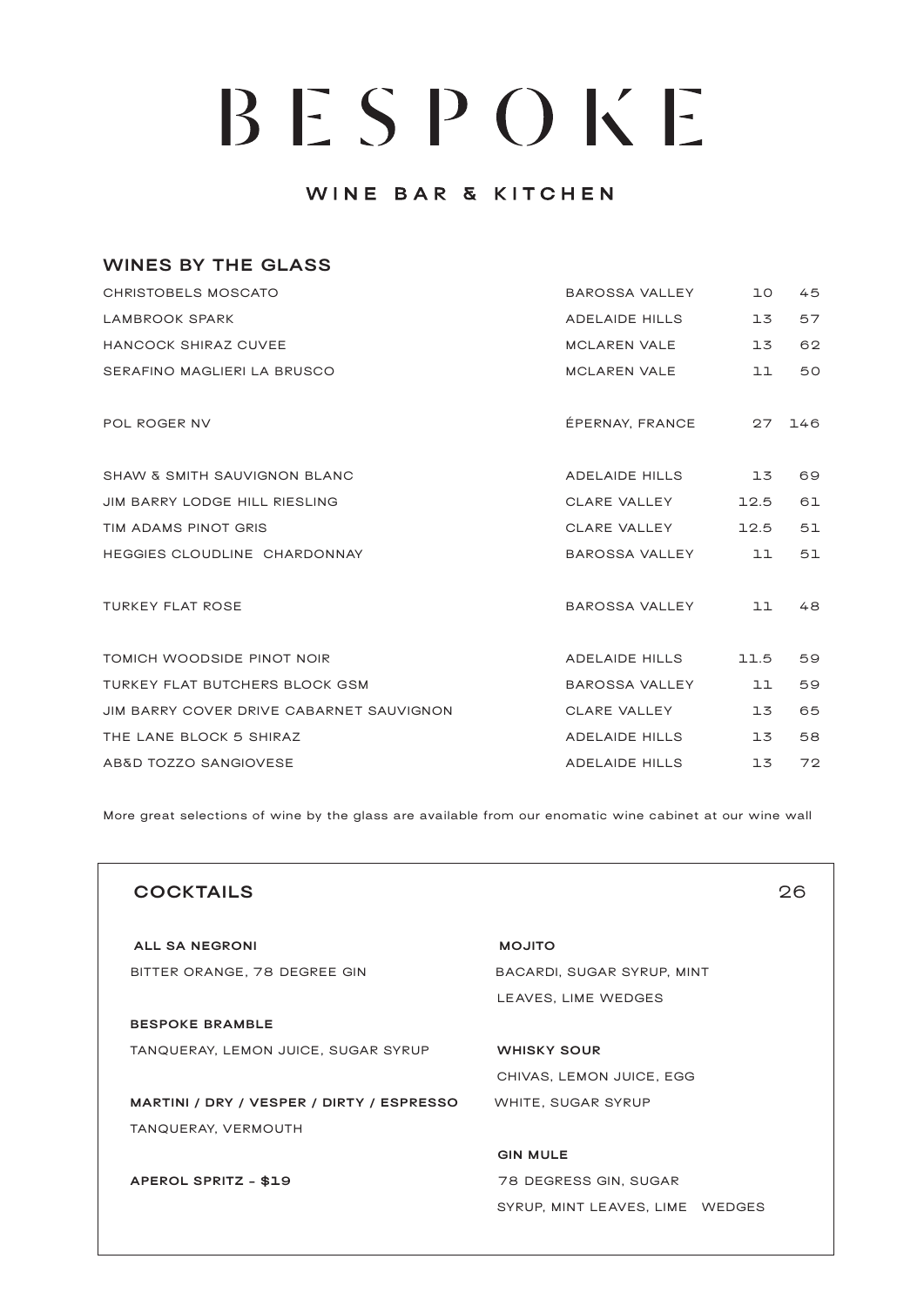### WINE BAR & KITCHEN

| <b>WINES BY THE GLASS</b>                |                       |      |     |
|------------------------------------------|-----------------------|------|-----|
| <b>CHRISTOBELS MOSCATO</b>               | BAROSSA VALLEY        | 10   | 45  |
| LAMBROOK SPARK                           | <b>ADELAIDE HILLS</b> | 13   | 57  |
| HANCOCK SHIRAZ CUVEE                     | <b>MCLAREN VALE</b>   | 13   | 62  |
| SERAFINO MAGLIERI LA BRUSCO              | <b>MCLAREN VALE</b>   | 11   | 50  |
| POL ROGER NV                             | ÉPERNAY, FRANCE       | 27   | 146 |
| <b>SHAW &amp; SMITH SAUVIGNON BLANC</b>  | ADELAIDE HILLS        | 13   | 69  |
| JIM BARRY LODGE HILL RIESLING            | CLARE VALLEY          | 12.5 | 61  |
| TIM ADAMS PINOT GRIS                     | CLARE VALLEY          | 12.5 | 51  |
| HEGGIES CLOUDLINE CHARDONNAY             | BAROSSA VALLEY        | 11   | 51  |
| <b>TURKEY FLAT ROSE</b>                  | BAROSSA VALLEY        | 11   | 48  |
| TOMICH WOODSIDE PINOT NOIR               | ADELAIDE HILLS        | 11.5 | 59  |
| TURKEY FLAT BUTCHERS BLOCK GSM           | BAROSSA VALLEY        | 11   | 59  |
| JIM BARRY COVER DRIVE CABARNET SAUVIGNON | CLARE VALLEY          | 13   | 65  |
| THE LANE BLOCK 5 SHIRAZ                  | <b>ADELAIDE HILLS</b> | 13   | 58  |
| AB&D TOZZO SANGIOVESE                    | <b>ADELAIDE HILLS</b> | 13   | 72  |

More great selections of wine by the glass are available from our enomatic wine cabinet at our wine wall

| <b>COCKTAILS</b>                          | つど                              |
|-------------------------------------------|---------------------------------|
| <b>ALL SA NEGRONI</b>                     | <b>OTILOM</b>                   |
| BITTER ORANGE, 78 DEGREE GIN              | BACARDI, SUGAR SYRUP, MINT      |
|                                           | LEAVES, LIME WEDGES             |
| <b>BESPOKE BRAMBLE</b>                    |                                 |
| TANQUERAY, LEMON JUICE, SUGAR SYRUP       | <b>WHISKY SOUR</b>              |
|                                           | CHIVAS, LEMON JUICE, EGG        |
| MARTINI / DRY / VESPER / DIRTY / ESPRESSO | WHITE, SUGAR SYRUP              |
| TANQUERAY, VERMOUTH                       |                                 |
|                                           | <b>GIN MULE</b>                 |
| APEROL SPRITZ - \$19                      | 78 DEGRESS GIN, SUGAR           |
|                                           | SYRUP, MINT LEAVES, LIME WEDGES |
|                                           |                                 |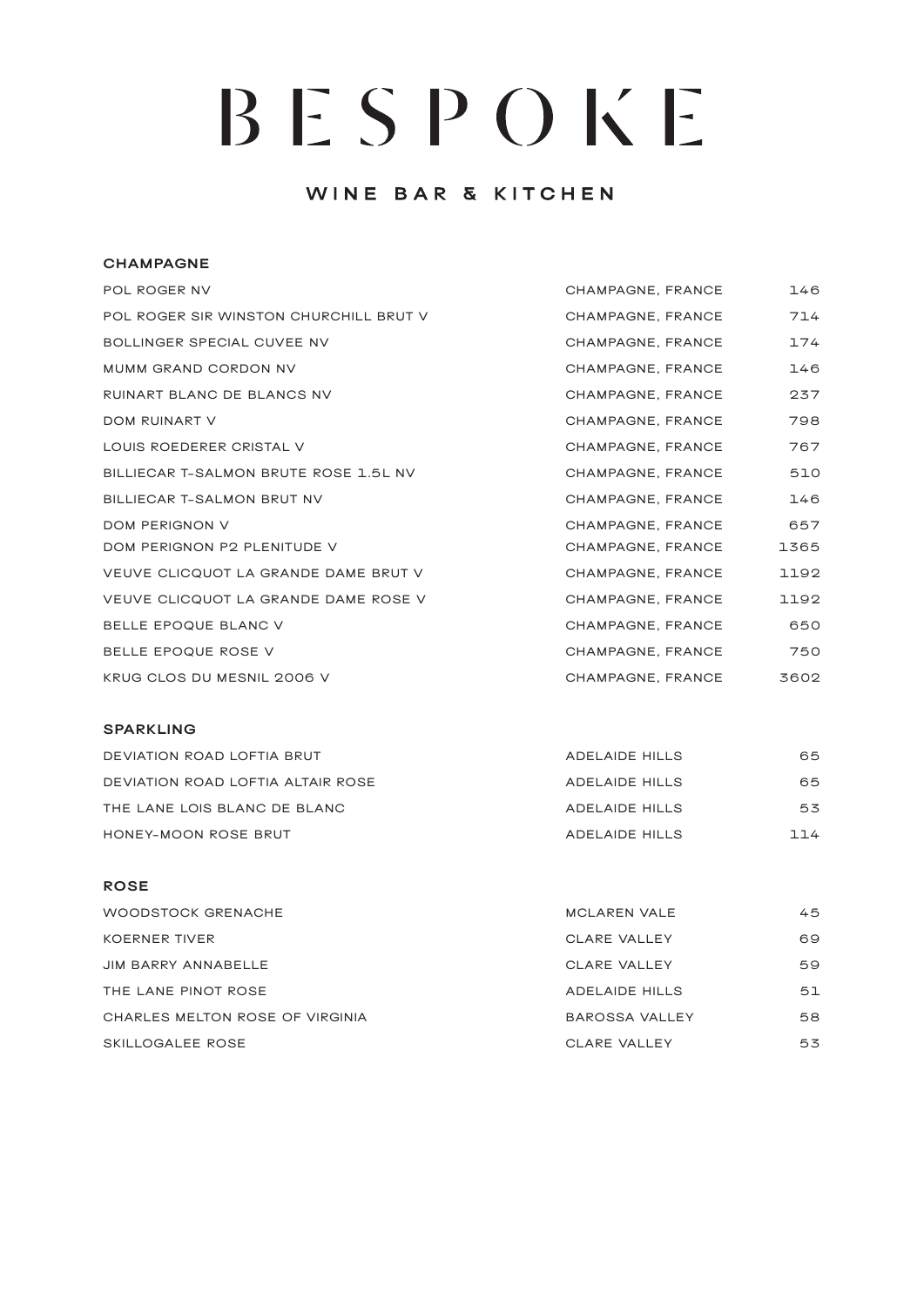### WINE BAR & KITCHEN

#### **CHAMPAGNE**

| POL ROGER NV                           | CHAMPAGNE, FRANCE | 146  |
|----------------------------------------|-------------------|------|
| POL ROGER SIR WINSTON CHURCHILL BRUT V | CHAMPAGNE, FRANCE | 714  |
| BOLLINGER SPECIAL CUVEE NV             | CHAMPAGNE, FRANCE | 174  |
| <b>MUMM GRAND CORDON NV</b>            | CHAMPAGNE, FRANCE | 146  |
| RUINART BLANC DE BLANCS NV             | CHAMPAGNE, FRANCE | 237  |
| DOM RUINART V                          | CHAMPAGNE, FRANCE | 798  |
| LOUIS ROEDERER CRISTAL V               | CHAMPAGNE, FRANCE | 767  |
| BILLIECAR T-SALMON BRUTE ROSE 1.5L NV  | CHAMPAGNE, FRANCE | 510  |
| BILLIECAR T-SALMON BRUT NV             | CHAMPAGNE, FRANCE | 146  |
| <b>DOM PERIGNON V</b>                  | CHAMPAGNE, FRANCE | 657  |
| DOM PERIGNON P2 PLENITUDE V            | CHAMPAGNE, FRANCE | 1365 |
| VEUVE CLICQUOT LA GRANDE DAME BRUT V   | CHAMPAGNE, FRANCE | 1192 |
| VEUVE CLICQUOT LA GRANDE DAME ROSE V   | CHAMPAGNE, FRANCE | 1192 |
| BELLE EPOQUE BLANC V                   | CHAMPAGNE, FRANCE | 650  |
| BELLE EPOQUE ROSE V                    | CHAMPAGNE, FRANCE | 750  |
| KRUG CLOS DU MESNIL 2006 V             | CHAMPAGNE, FRANCE | 3602 |
|                                        |                   |      |

#### **SPARKLING**

| DEVIATION ROAD LOFTIA BRUT        | ADELAIDE HILLS | 65  |
|-----------------------------------|----------------|-----|
| DEVIATION ROAD LOFTIA ALTAIR ROSE | ADELAIDE HILLS | 65  |
| THE LANE LOIS BLANC DE BLANC      | ADELAIDE HILLS | 53  |
| HONEY-MOON ROSE BRUT              | ADELAIDE HILLS | 114 |

#### **ROSE**

| WOODSTOCK GRENACHE              | MCLAREN VALE          | 45 |
|---------------------------------|-----------------------|----|
| <b>KOERNER TIVER</b>            | CLARE VALLEY          | 69 |
| JIM BARRY ANNABELLE             | CLARE VALLEY          | 59 |
| THE LANE PINOT ROSE             | <b>ADELAIDE HILLS</b> | 51 |
| CHARLES MELTON ROSE OF VIRGINIA | <b>BAROSSA VALLEY</b> | 58 |
| SKILLOGALEE ROSE                | CLARE VALLEY          | 53 |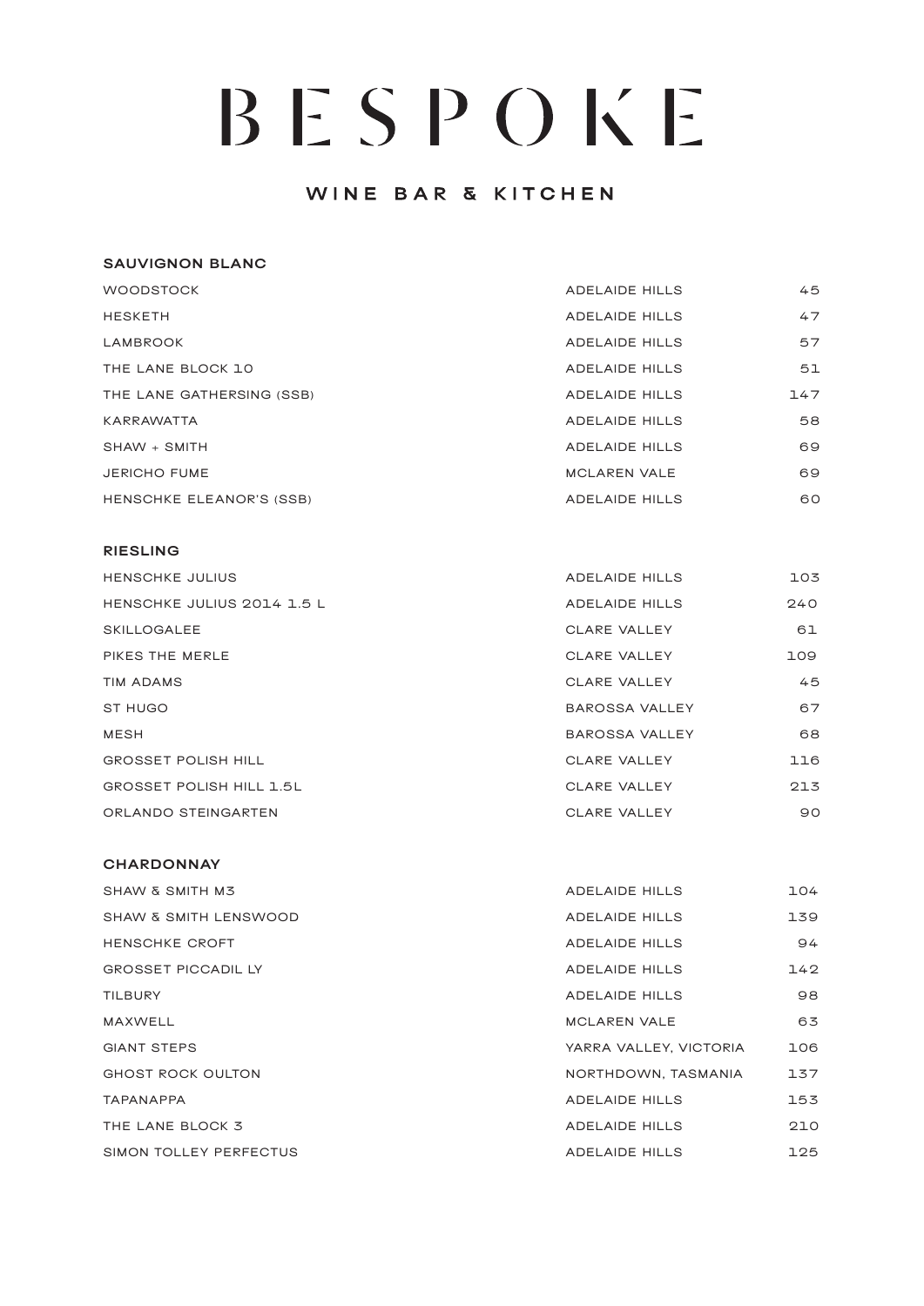### WINE BAR & KITCHEN

#### **SAUVIGNON BLANC**

| <b>WOODSTOCK</b>          | <b>ADELAIDE HILLS</b> | 45  |
|---------------------------|-----------------------|-----|
| <b>HESKETH</b>            | <b>ADELAIDE HILLS</b> | 47  |
| LAMBROOK                  | <b>ADELAIDE HILLS</b> | 57  |
| THE LANE BLOCK 10         | <b>ADELAIDE HILLS</b> | 51  |
| THE LANE GATHERSING (SSB) | <b>ADELAIDE HILLS</b> | 147 |
| <b>KARRAWATTA</b>         | <b>ADELAIDE HILLS</b> | 58  |
| $SHAW + SMITH$            | <b>ADELAIDE HILLS</b> | 69  |
| <b>JERICHO FUME</b>       | <b>MCLAREN VALE</b>   | 69  |
| HENSCHKE ELEANOR'S (SSB)  | <b>ADELAIDE HILLS</b> | 60  |

#### **RIESLING**

| <b>HENSCHKE JULIUS</b>          | <b>ADELAIDE HILLS</b> | 103 |
|---------------------------------|-----------------------|-----|
| HENSCHKE JULIUS 2014 1.5 L      | <b>ADELAIDE HILLS</b> | 240 |
| <b>SKILLOGALEE</b>              | <b>CLARE VALLEY</b>   | 61  |
| PIKES THE MERLE                 | CLARE VALLEY          | 109 |
| TIM ADAMS                       | CLARE VALLEY          | 45  |
| <b>ST HUGO</b>                  | <b>BAROSSA VALLEY</b> | 67  |
| <b>MESH</b>                     | <b>BAROSSA VALLEY</b> | 68  |
| <b>GROSSET POLISH HILL</b>      | CLARE VALLEY          | 116 |
| <b>GROSSET POLISH HILL 1.5L</b> | CLARE VALLEY          | 213 |
| ORLANDO STEINGARTEN             | <b>CLARE VALLEY</b>   | 90  |

#### **CHARDONNAY**

| SHAW & SMITH M3                  | ADELAIDE HILLS         | 104 |
|----------------------------------|------------------------|-----|
| <b>SHAW &amp; SMITH LENSWOOD</b> | ADELAIDE HILLS         | 139 |
| <b>HENSCHKE CROFT</b>            | <b>ADELAIDE HILLS</b>  | 94  |
| <b>GROSSET PICCADIL LY</b>       | ADELAIDE HILLS         | 142 |
| <b>TILBURY</b>                   | <b>ADELAIDE HILLS</b>  | 98  |
| MAXWELL                          | <b>MCLAREN VALE</b>    | 63  |
| <b>GIANT STEPS</b>               | YARRA VALLEY, VICTORIA | 106 |
| <b>GHOST ROCK OULTON</b>         | NORTHDOWN, TASMANIA    | 137 |
| <b>TAPANAPPA</b>                 | <b>ADELAIDE HILLS</b>  | 153 |
| THE LANE BLOCK 3                 | <b>ADELAIDE HILLS</b>  | 210 |
| SIMON TOLLEY PERFECTUS           | <b>ADELAIDE HILLS</b>  | 125 |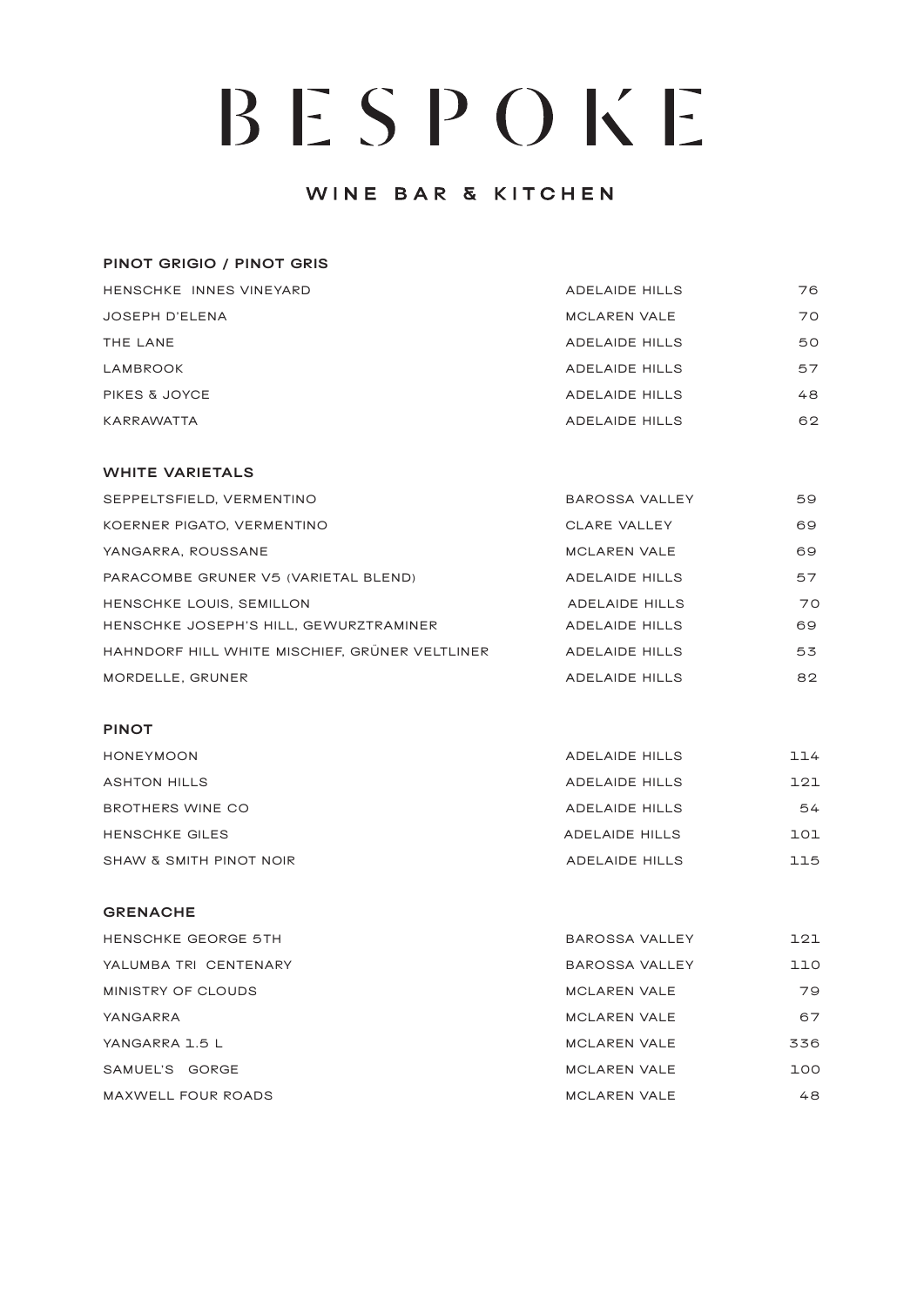### WINE BAR & KITCHEN

| <b>PINOT GRIGIO / PINOT GRIS</b> |                       |    |
|----------------------------------|-----------------------|----|
| HENSCHKE INNES VINEYARD          | <b>ADELAIDE HILLS</b> | 76 |
| <b>JOSEPH D'ELENA</b>            | <b>MCLAREN VALE</b>   | 70 |
| THE LANE                         | <b>ADELAIDE HILLS</b> | 50 |
| LAMBROOK                         | <b>ADELAIDE HILLS</b> | 57 |
| <b>PIKES &amp; JOYCE</b>         | <b>ADELAIDE HILLS</b> | 48 |
| KARRAWATTA                       | <b>ADELAIDE HILLS</b> | 62 |

#### **WHITE VARIETALS**

| SEPPELTSFIELD, VERMENTINO                      | BAROSSA VALLEY        | 59 |
|------------------------------------------------|-----------------------|----|
| KOERNER PIGATO, VERMENTINO                     | CLARE VALLEY          | 69 |
| YANGARRA, ROUSSANE                             | <b>MCLAREN VALE</b>   | 69 |
| PARACOMBE GRUNER V5 (VARIETAL BLEND)           | <b>ADELAIDE HILLS</b> | 57 |
| HENSCHKE LOUIS, SEMILLON                       | <b>ADELAIDE HILLS</b> | 70 |
| HENSCHKE JOSEPH'S HILL, GEWURZTRAMINER         | <b>ADELAIDE HILLS</b> | 69 |
| HAHNDORF HILL WHITE MISCHIEF, GRÜNER VELTLINER | <b>ADELAIDE HILLS</b> | 53 |
| MORDELLE, GRUNER                               | <b>ADELAIDE HILLS</b> | 82 |

#### **PINOT**

| <b>HONEYMOON</b>        | <b>ADELAIDE HILLS</b> | 114 |
|-------------------------|-----------------------|-----|
| <b>ASHTON HILLS</b>     | <b>ADELAIDE HILLS</b> | 121 |
| BROTHERS WINE CO        | <b>ADELAIDE HILLS</b> | 54  |
| <b>HENSCHKE GILES</b>   | ADELAIDE HILLS        | 101 |
| SHAW & SMITH PINOT NOIR | ADELAIDE HILLS        | 115 |

#### **GRENACHE**

| <b>HENSCHKE GEORGE 5TH</b> | <b>BAROSSA VALLEY</b> | 121 |
|----------------------------|-----------------------|-----|
| YALUMBA TRI CENTENARY      | <b>BAROSSA VALLEY</b> | 110 |
| MINISTRY OF CLOUDS         | <b>MCLAREN VALE</b>   | 79  |
| YANGARRA                   | <b>MCLAREN VALE</b>   | 67  |
| YANGARRA 1.5 L             | <b>MCLAREN VALE</b>   | 336 |
| SAMUEL'S GORGE             | <b>MCLAREN VALE</b>   | 100 |
| <b>MAXWELL FOUR ROADS</b>  | <b>MCLAREN VALE</b>   | 48  |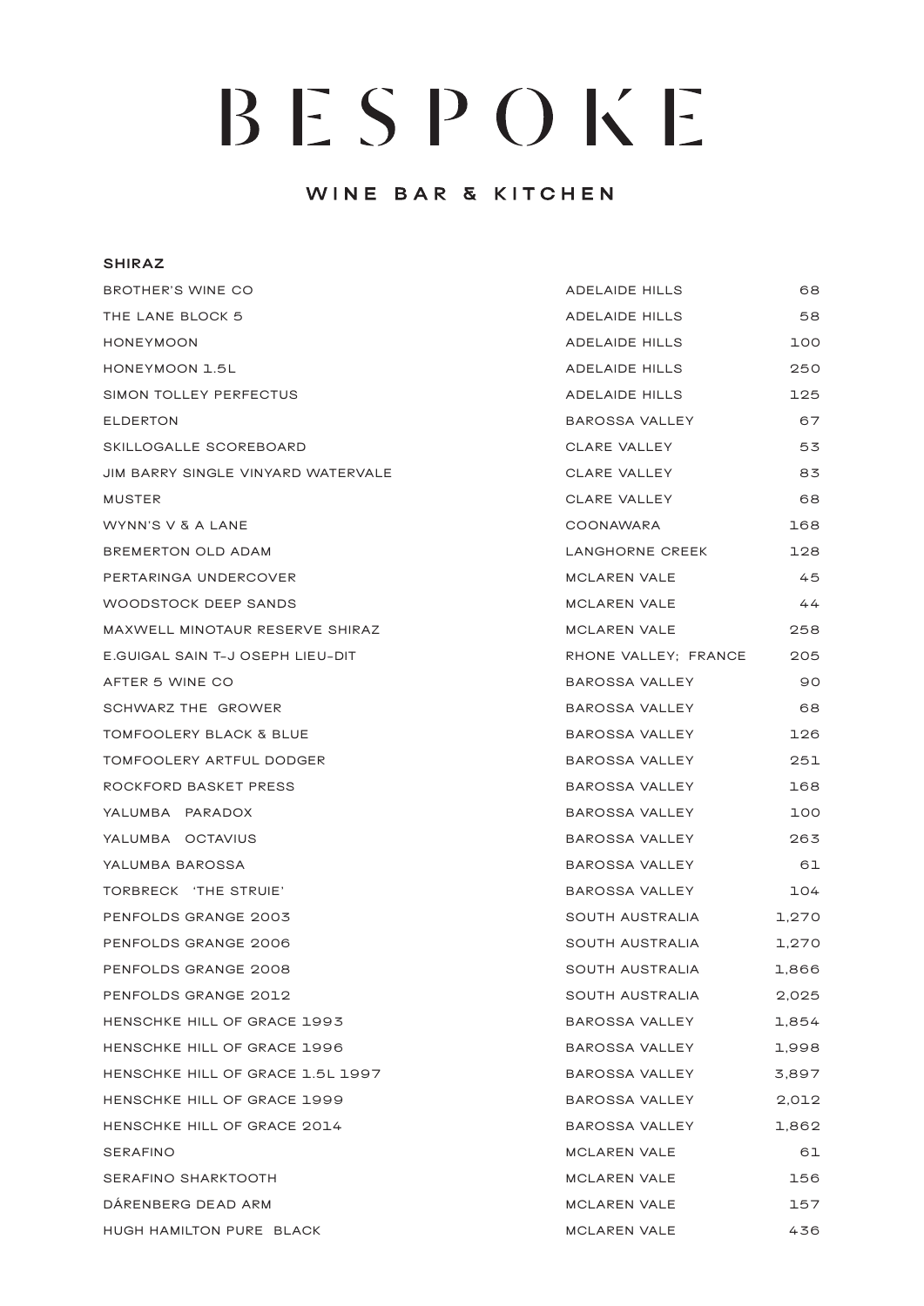## WINE BAR & KITCHEN

#### **SHIRAZ**

| BROTHER'S WINE CO                  | ADELAIDE HILLS       | 68    |
|------------------------------------|----------------------|-------|
| THE LANE BLOCK 5                   | ADELAIDE HILLS       | 58    |
| <b>HONEYMOON</b>                   | ADELAIDE HILLS       | 100   |
| HONEYMOON 1.5L                     | ADELAIDE HILLS       | 250   |
| SIMON TOLLEY PERFECTUS             | ADELAIDE HILLS       | 125   |
| <b>ELDERTON</b>                    | BAROSSA VALLEY       | 67    |
| SKILLOGALLE SCOREBOARD             | CLARE VALLEY         | 53    |
| JIM BARRY SINGLE VINYARD WATERVALE | CLARE VALLEY         | 83    |
| MUSTER                             | CLARE VALLEY         | 68    |
| WYNN'S V & A LANE                  | COONAWARA            | 168   |
| BREMERTON OLD ADAM                 | LANGHORNE CREEK      | 128   |
| PERTARINGA UNDERCOVER              | MCLAREN VALE         | 45    |
| <b>WOODSTOCK DEEP SANDS</b>        | MCLAREN VALE         | 44    |
| MAXWELL MINOTAUR RESERVE SHIRAZ    | MCLAREN VALE         | 258   |
| E.GUIGAL SAIN T-J OSEPH LIEU-DIT   | RHONE VALLEY; FRANCE | 205   |
| AFTER 5 WINE CO                    | BAROSSA VALLEY       | 90    |
| SCHWARZ THE GROWER                 | BAROSSA VALLEY       | 68    |
| <b>TOMFOOLERY BLACK &amp; BLUE</b> | BAROSSA VALLEY       | 126   |
| TOMFOOLERY ARTFUL DODGER           | BAROSSA VALLEY       | 251   |
| ROCKFORD BASKET PRESS              | BAROSSA VALLEY       | 168   |
| YALUMBA PARADOX                    | BAROSSA VALLEY       | 100   |
| YALUMBA OCTAVIUS                   | BAROSSA VALLEY       | 263   |
| YALUMBA BAROSSA                    | BAROSSA VALLEY       | 61    |
| TORBRECK 'THE STRUIE'              | BAROSSA VALLEY       | 104   |
| PENFOLDS GRANGE 2003               | SOUTH AUSTRALIA      | 1,270 |
| PENFOLDS GRANGE 2006               | SOUTH AUSTRALIA      | 1,270 |
| PENFOLDS GRANGE 2008               | SOUTH AUSTRALIA      | 1,866 |
| PENFOLDS GRANGE 2012               | SOUTH AUSTRALIA      | 2,025 |
| HENSCHKE HILL OF GRACE 1993        | BAROSSA VALLEY       | 1,854 |
| HENSCHKE HILL OF GRACE 1996        | BAROSSA VALLEY       | 1,998 |
| HENSCHKE HILL OF GRACE 1.5L 1997   | BAROSSA VALLEY       | 3,897 |
| HENSCHKE HILL OF GRACE 1999        | BAROSSA VALLEY       | 2,012 |
| HENSCHKE HILL OF GRACE 2014        | BAROSSA VALLEY       | 1,862 |
| SERAFINO                           | MCLAREN VALE         | 61    |
| SERAFINO SHARKTOOTH                | MCLAREN VALE         | 156   |
| DARENBERG DEAD ARM                 | MCLAREN VALE         | 157   |
| HUGH HAMILTON PURE BLACK           | MCLAREN VALE         | 436   |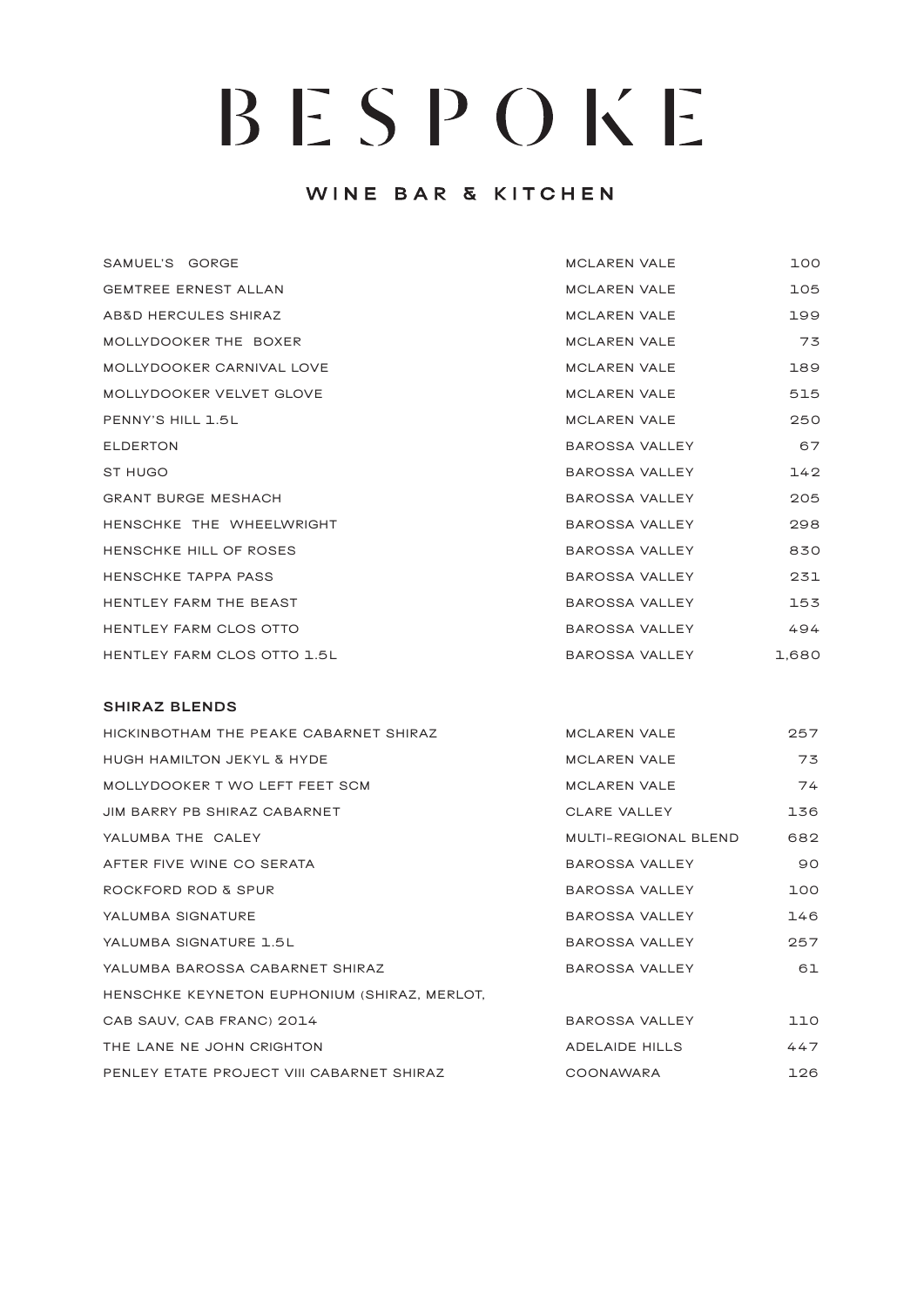## WINE BAR & KITCHEN

| SAMUEL'S GORGE              | <b>MCLAREN VALE</b>   | 100   |
|-----------------------------|-----------------------|-------|
| <b>GEMTREE ERNEST ALLAN</b> | <b>MCLAREN VALE</b>   | 105   |
| AB&D HERCULES SHIRAZ        | <b>MCLAREN VALE</b>   | 199   |
| MOLLYDOOKER THE BOXER       | <b>MCLAREN VALE</b>   | 73    |
| MOLLYDOOKER CARNIVAL LOVE   | <b>MCLAREN VALE</b>   | 189   |
| MOLLYDOOKER VELVET GLOVE    | <b>MCLAREN VALE</b>   | 515   |
| PENNY'S HILL 1.5L           | <b>MCLAREN VALE</b>   | 250   |
| <b>ELDERTON</b>             | BAROSSA VALLEY        | 67    |
| ST HUGO                     | BAROSSA VALLEY        | 142   |
| <b>GRANT BURGE MESHACH</b>  | BAROSSA VALLEY        | 205   |
| HENSCHKE THE WHEELWRIGHT    | BAROSSA VALLEY        | 298   |
| HENSCHKE HILL OF ROSES      | BAROSSA VALLEY        | 830   |
| HENSCHKE TAPPA PASS         | BAROSSA VALLEY        | 231   |
| HENTLEY FARM THE BEAST      | BAROSSA VALLEY        | 153   |
| HENTLEY FARM CLOS OTTO      | <b>BAROSSA VALLEY</b> | 494   |
| HENTLEY FARM CLOS OTTO 1.5L | BAROSSA VALLEY        | 1,680 |

#### **SHIRAZ BLENDS**

| HICKINBOTHAM THE PEAKE CABARNET SHIRAZ       | <b>MCLAREN VALE</b>         | 257 |
|----------------------------------------------|-----------------------------|-----|
| <b>HUGH HAMILTON JEKYL &amp; HYDE</b>        | <b>MCLAREN VALE</b>         | 73  |
| MOLLYDOOKER T WO LEFT FEET SCM               | <b>MCLAREN VALE</b>         | 74  |
| JIM BARRY PB SHIRAZ CABARNET                 | CLARE VALLEY                | 136 |
| YALUMBA THE CALEY                            | <b>MULTI-REGIONAL BLEND</b> | 682 |
| AFTER FIVE WINE CO SERATA                    | BAROSSA VALLEY              | 90  |
| ROCKFORD ROD & SPUR                          | BAROSSA VALLEY              | 100 |
| YALUMBA SIGNATURE                            | BAROSSA VALLEY              | 146 |
| YALUMBA SIGNATURE 1.5L                       | BAROSSA VALLEY              | 257 |
| YALUMBA BAROSSA CABARNET SHIRAZ              | BAROSSA VALLEY              | 61  |
| HENSCHKE KEYNETON EUPHONIUM (SHIRAZ, MERLOT, |                             |     |
| CAB SAUV, CAB FRANC) 2014                    | BAROSSA VALLEY              | 110 |
| THE LANE NE JOHN CRIGHTON                    | ADELAIDE HILLS              | 447 |
| PENLEY ETATE PROJECT VIII CABARNET SHIRAZ    | <b>COONAWARA</b>            | 126 |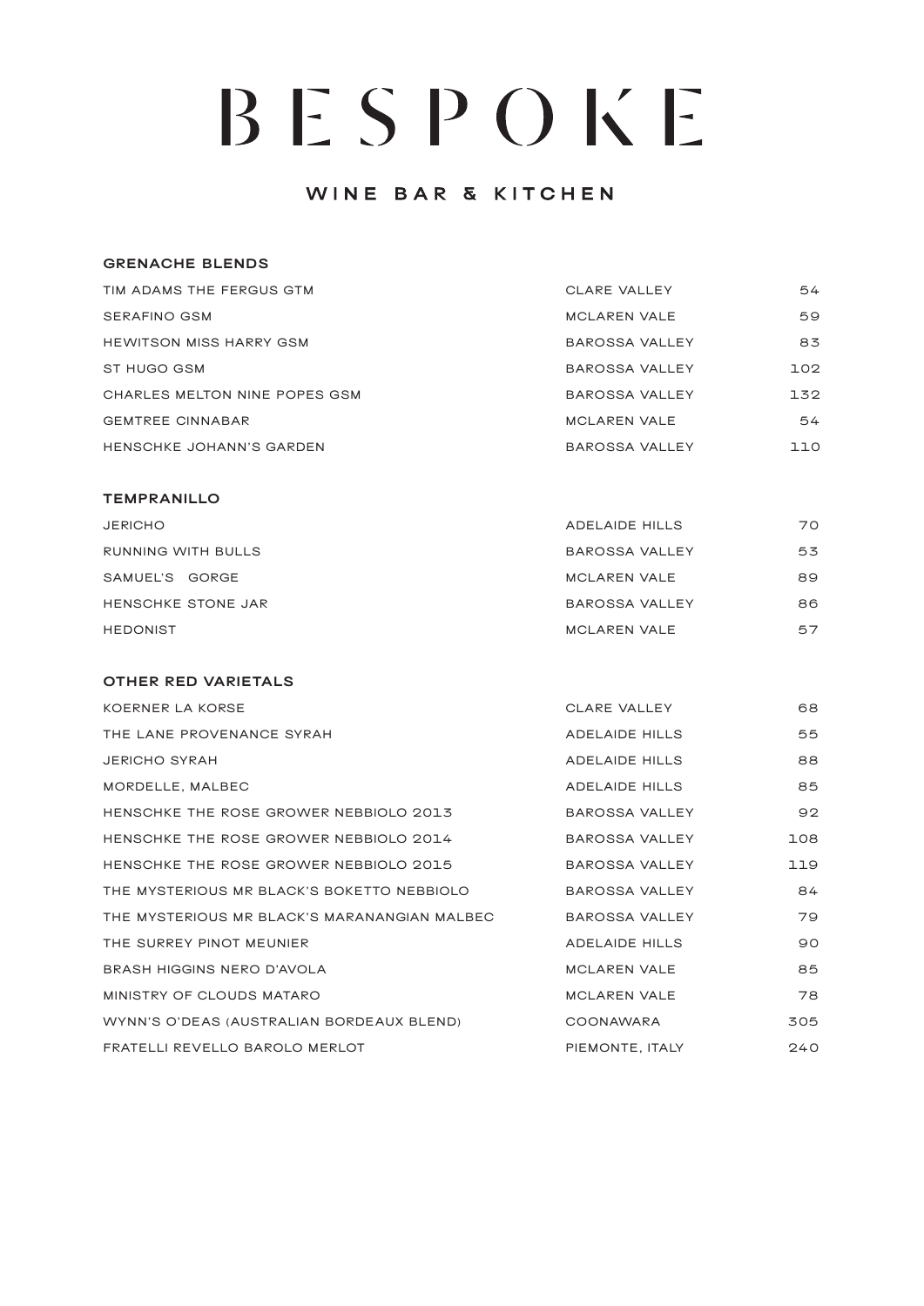### WINE BAR & KITCHEN

#### **GRENACHE BLENDS**

| TIM ADAMS THE FERGUS GTM       | <b>CLARE VALLEY</b>   | 54  |
|--------------------------------|-----------------------|-----|
| SERAFINO GSM                   | MCLAREN VALE          | 59  |
| <b>HEWITSON MISS HARRY GSM</b> | <b>BAROSSA VALLEY</b> | 83  |
| ST HUGO GSM                    | <b>BAROSSA VALLEY</b> | 102 |
| CHARLES MELTON NINE POPES GSM  | <b>BAROSSA VALLEY</b> | 132 |
| <b>GEMTREE CINNABAR</b>        | <b>MCLAREN VALE</b>   | 54  |
| HENSCHKE JOHANN'S GARDEN       | <b>BAROSSA VALLEY</b> | 110 |

#### **TEMPRANILLO**

| <b>JERICHO</b>     | <b>ADELAIDE HILLS</b> | 70 |
|--------------------|-----------------------|----|
| RUNNING WITH BULLS | <b>BAROSSA VALLEY</b> | 53 |
| SAMUEL'S GORGE     | <b>MCLAREN VALE</b>   | 89 |
| HENSCHKE STONE JAR | <b>BAROSSA VALLEY</b> | 86 |
| <b>HEDONIST</b>    | <b>MCLAREN VALE</b>   | 57 |

#### **OTHER RED VARIETALS**

| <b>KOERNER LA KORSE</b>                      | CLARE VALLEY          | 68  |
|----------------------------------------------|-----------------------|-----|
| THE LANE PROVENANCE SYRAH                    | <b>ADELAIDE HILLS</b> | 55  |
| <b>JERICHO SYRAH</b>                         | <b>ADELAIDE HILLS</b> | 88  |
| MORDELLE, MALBEC                             | <b>ADELAIDE HILLS</b> | 85  |
| HENSCHKE THE ROSE GROWER NEBBIOLO 2013       | BAROSSA VALLEY        | 92  |
| HENSCHKE THE ROSE GROWER NEBBIOLO 2014       | BAROSSA VALLEY        | 108 |
| HENSCHKE THE ROSE GROWER NEBBIOLO 2015       | BAROSSA VALLEY        | 119 |
| THE MYSTERIOUS MR BLACK'S BOKETTO NEBBIOLO   | <b>BAROSSA VALLEY</b> | 84  |
| THE MYSTERIOUS MR BLACK'S MARANANGIAN MALBEC | <b>BAROSSA VALLEY</b> | 79  |
| THE SURREY PINOT MEUNIER                     | <b>ADELAIDE HILLS</b> | 90  |
| BRASH HIGGINS NERO D'AVOLA                   | <b>MCLAREN VALE</b>   | 85  |
| MINISTRY OF CLOUDS MATARO                    | <b>MCLAREN VALE</b>   | 78  |
| WYNN'S O'DEAS (AUSTRALIAN BORDEAUX BLEND)    | COONAWARA             | 305 |
| FRATELLI REVELLO BAROLO MERLOT               | PIEMONTE, ITALY       | 240 |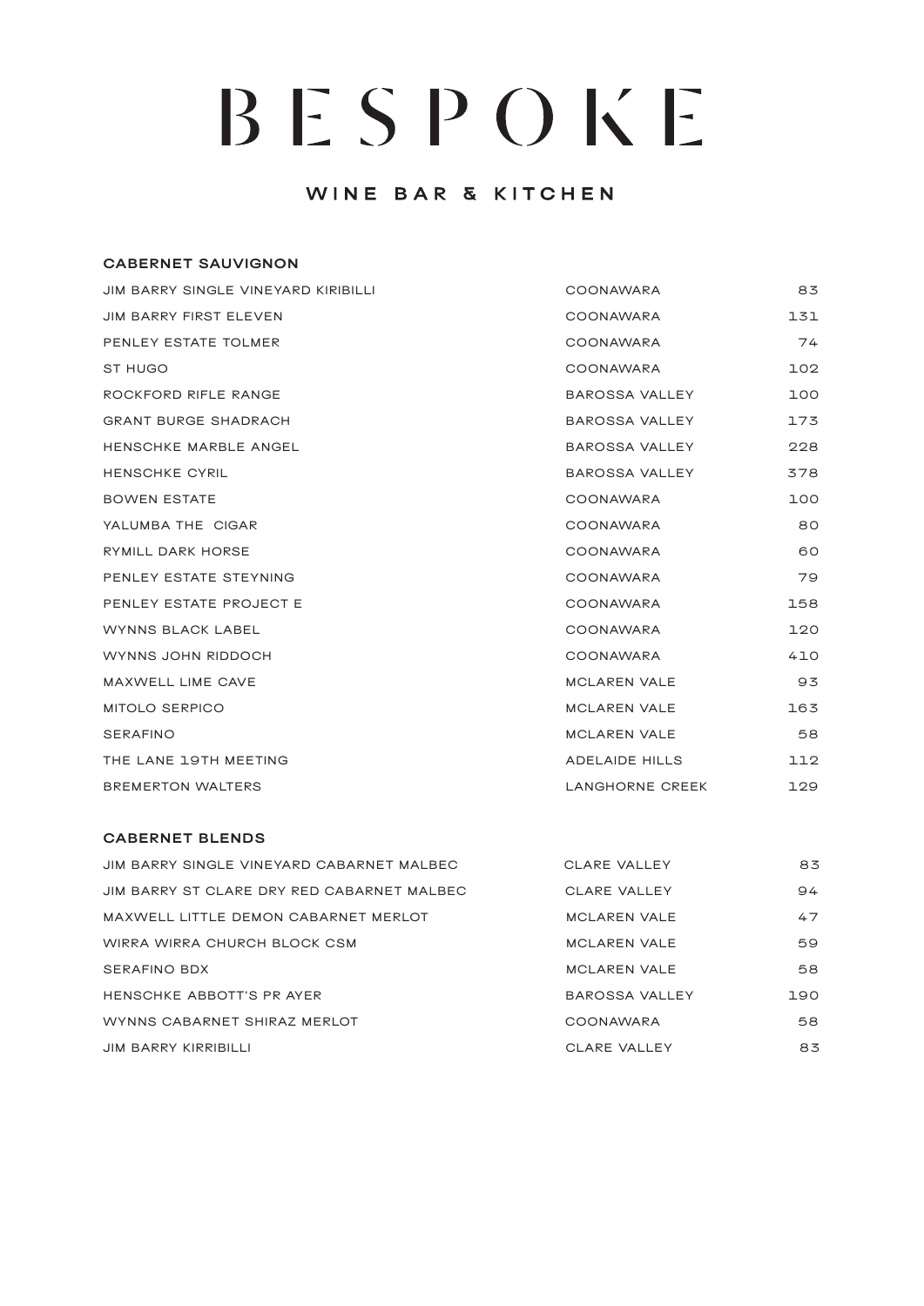### WINE BAR & KITCHEN

# **CABERNET SAUVIGNON** JIM BARRY SINGLE VINEYARD KIRIBILLI COONAWARA 83 JIM BARRY FIRST ELEVEN **COONAWARA** 131 PENLEY ESTATE TOLMER THE RESERVE OF THE COONAWARA THE RESERVE THAT A STATE OF THE RESERVE OF THE RESERVE OF TH ST HUGO COONAWARA 102 ROCKFORD RIFLE RANGE **BAROSSA VALLEY** 100 GRANT BURGE SHADRACH BAROSSA VALLEY 173 HENSCHKE MARBLE ANGEL **BAROSSA VALLEY** 228 HENSCHKE CYRIL **BAROSSA VALLEY** 378 BOWEN ESTATE AND RESOLUTION COONAWARA THE RESOLUTION OF THE RESOLUTION OF THE RESOLUTION OF THE RESOLUTION OF THE RESOLUTION OF THE RESOLUTION OF THE RESOLUTION OF THE RESOLUTION OF THE RESOLUTION OF THE RESOLUTION OF THE YALUMBA THE CIGAR COONAWARA BO RYMILL DARK HORSE **COONAWARA** 60 PENLEY ESTATE STEYNING THE RESERVE COONAWARA THE RESERVE TO A SERVE THE RESERVE TO A STATE STATE STATE STATE ST PENLEY ESTATE PROJECT E COONAWARA 158 WYNNS BLACK LABEL COONAWARA 120 WYNNS JOHN RIDDOCH **A GOONAWARA** A LO MAXWELL LIME CAVE **MAXWELL LIME CAVE MCLAREN VALE** MITOLO SERPICO **MITOLO SERPICO MCLAREN VALE** SERAFINO 58 THE LANE 19TH MEETING ADELAIDE HILLS AND ALL 2 BREMERTON WALTERS **EXECUTE:** THE RESERVE CREEK 129

#### **CABERNET BLENDS**

| JIM BARRY SINGLE VINEYARD CABARNET MALBEC  | CLARE VALLEY          | 83  |
|--------------------------------------------|-----------------------|-----|
| JIM BARRY ST CLARE DRY RED CABARNET MALBEC | <b>CLARE VALLEY</b>   | 94  |
| MAXWELL LITTLE DEMON CABARNET MERLOT       | <b>MCLAREN VALE</b>   | 47  |
| WIRRA WIRRA CHURCH BLOCK CSM               | <b>MCLAREN VALE</b>   | 59  |
| <b>SERAFINO BDX</b>                        | <b>MCLAREN VALE</b>   | 58  |
| HENSCHKE ABBOTT'S PR AYER                  | <b>BAROSSA VALLEY</b> | 190 |
| WYNNS CABARNET SHIRAZ MERLOT               | COONAWARA             | 58  |
| <b>JIM BARRY KIRRIBILLI</b>                | CLARE VALLEY          | 83  |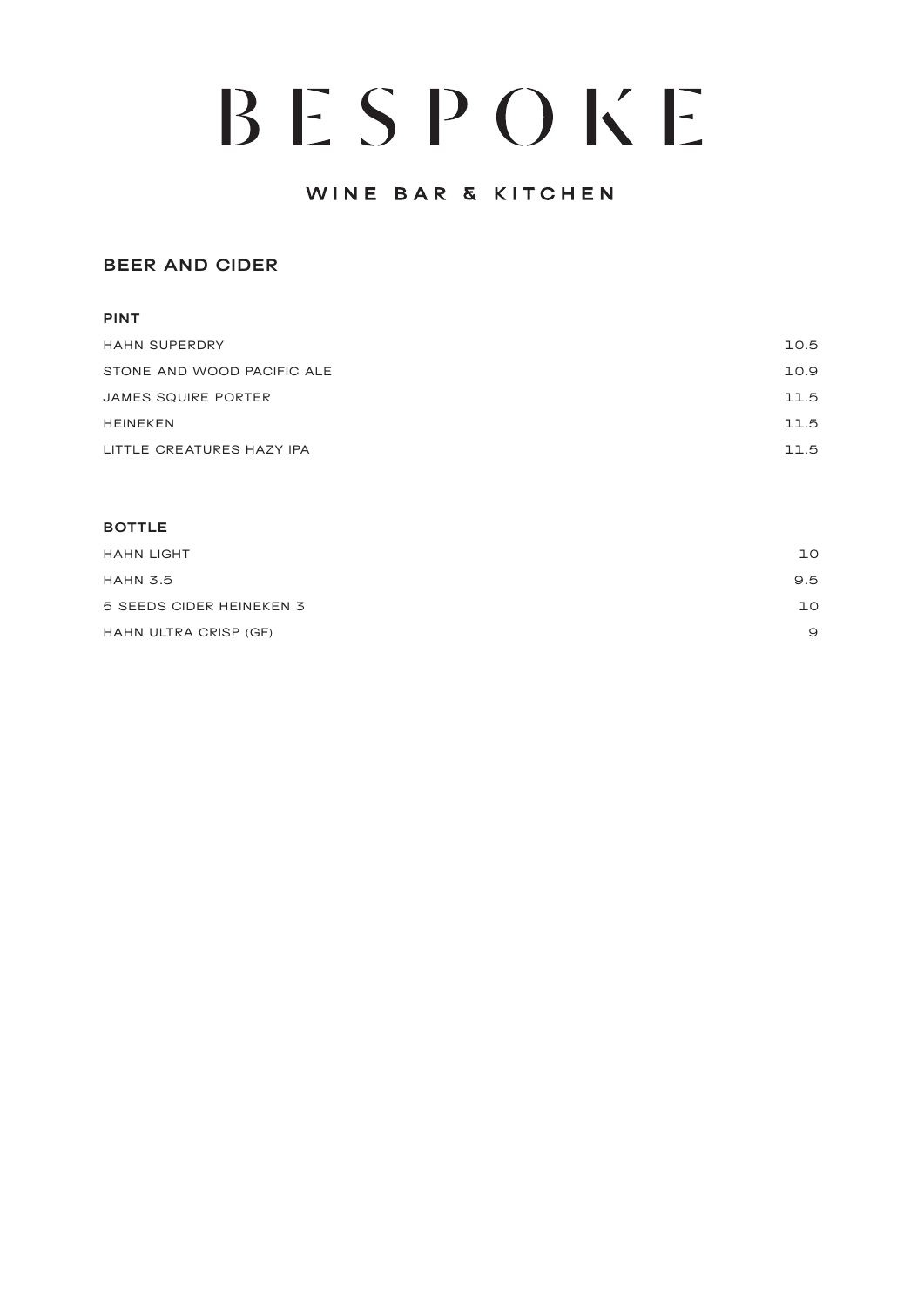## WINE BAR & KITCHEN

### **BEER AND CIDER**

# **PINT**

| <b>HAHN SUPERDRY</b>       | 10.5 |
|----------------------------|------|
| STONE AND WOOD PACIFIC ALE | 10.9 |
| JAMES SQUIRE PORTER        | 11.5 |
| <b>HEINEKEN</b>            | 11.5 |
| LITTLE CREATURES HAZY IPA  | 11.5 |

#### **BOTTLE**

| <b>HAHN LIGHT</b>        | ıο  |
|--------------------------|-----|
| <b>HAHN 3.5</b>          | 9.5 |
| 5 SEEDS CIDER HEINEKEN 3 | ıο  |
| HAHN ULTRA CRISP (GF)    | 9   |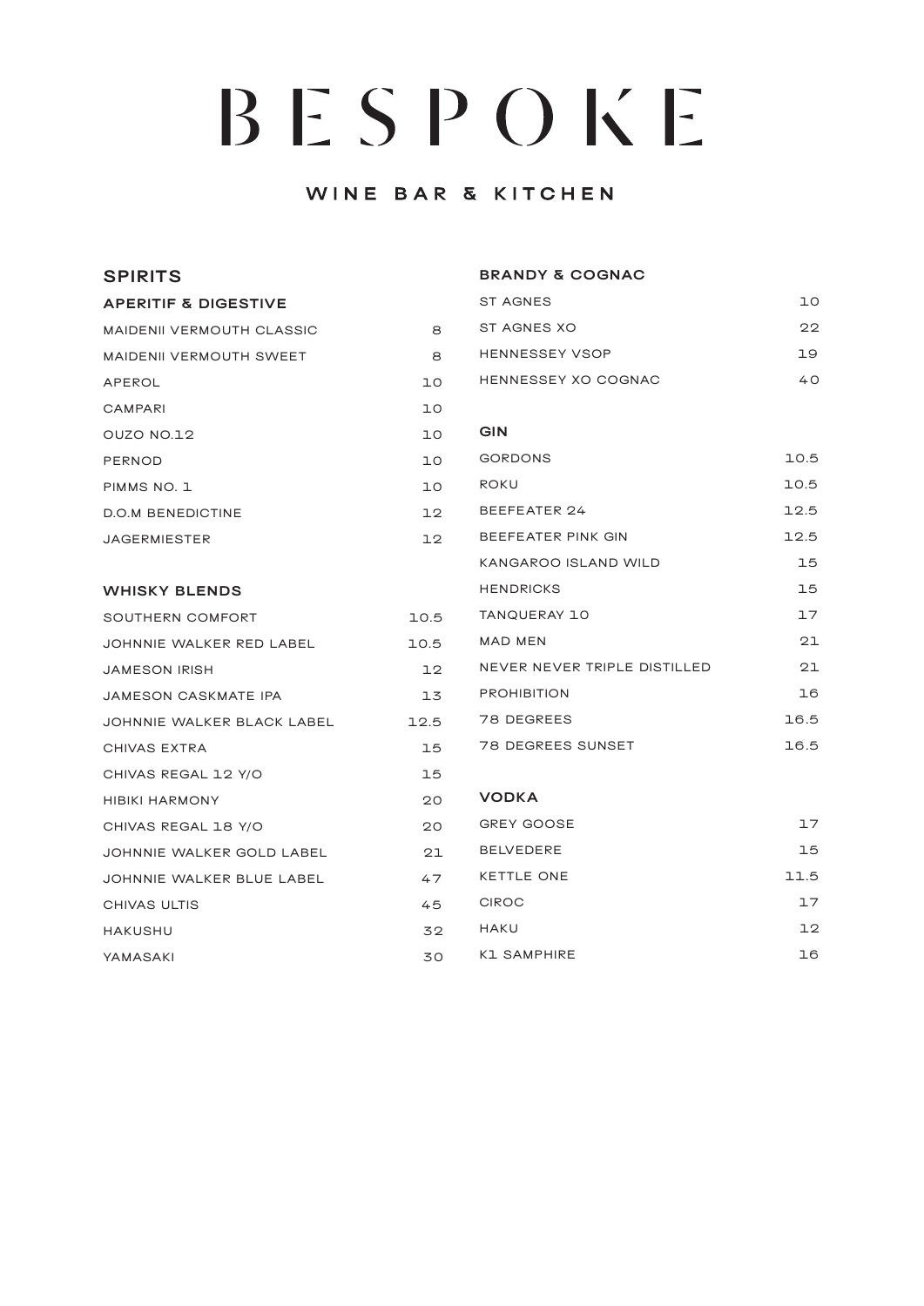# WINE BAR & KITCHEN

| <b>SPIRITS</b>                   |      | <b>BRANDY &amp; COGNAC</b>   |      |
|----------------------------------|------|------------------------------|------|
| <b>APERITIF &amp; DIGESTIVE</b>  |      | <b>ST AGNES</b>              | ΠO   |
| <b>MAIDENII VERMOUTH CLASSIC</b> | 8    | ST AGNES XO                  | 22   |
| <b>MAIDENII VERMOUTH SWEET</b>   | 8    | <b>HENNESSEY VSOP</b>        | 19   |
| APEROL                           | 10   | HENNESSEY XO COGNAC          | 40   |
| CAMPARI                          | lΟ   |                              |      |
| OUZO NO.12                       | 10   | <b>GIN</b>                   |      |
| <b>PERNOD</b>                    | 10   | <b>GORDONS</b>               | 10.5 |
| PIMMS NO. 1                      | 10   | ROKU                         | 10.5 |
| <b>D.O.M BENEDICTINE</b>         | 12   | BEEFEATER 24                 | 12.5 |
| <b>JAGERMIESTER</b>              | 12   | BEEFEATER PINK GIN           | 12.5 |
|                                  |      | KANGAROO ISLAND WILD         | 15   |
| <b>WHISKY BLENDS</b>             |      | <b>HENDRICKS</b>             | 15   |
| SOUTHERN COMFORT                 | 10.5 | TANQUERAY 10                 | 17   |
| JOHNNIE WALKER RED LABEL         | 10.5 | MAD MEN                      | 21   |
| <b>JAMESON IRISH</b>             | 12   | NEVER NEVER TRIPLE DISTILLED | 21   |
| JAMESON CASKMATE IPA             | 13   | <b>PROHIBITION</b>           | 16   |
| JOHNNIE WALKER BLACK LABEL       | 12.5 | 78 DEGREES                   | 16.5 |
| CHIVAS EXTRA                     | 15   | 78 DEGREES SUNSET            | 16.5 |
| CHIVAS REGAL 12 Y/O              | 15   |                              |      |
| <b>HIBIKI HARMONY</b>            | 20   | <b>VODKA</b>                 |      |
| CHIVAS REGAL 18 Y/O              | 20   | <b>GREY GOOSE</b>            | 17   |
| JOHNNIE WALKER GOLD LABEL        | 21   | <b>BELVEDERE</b>             | 15   |
| JOHNNIE WALKER BLUE LABEL        | 47   | <b>KETTLE ONE</b>            | 11.5 |
| CHIVAS ULTIS                     | 45   | <b>CIROC</b>                 | 17   |
| <b>HAKUSHU</b>                   | 32   | HAKU                         | 12   |
| YAMASAKI                         | 30   | <b>K1 SAMPHIRE</b>           | 16   |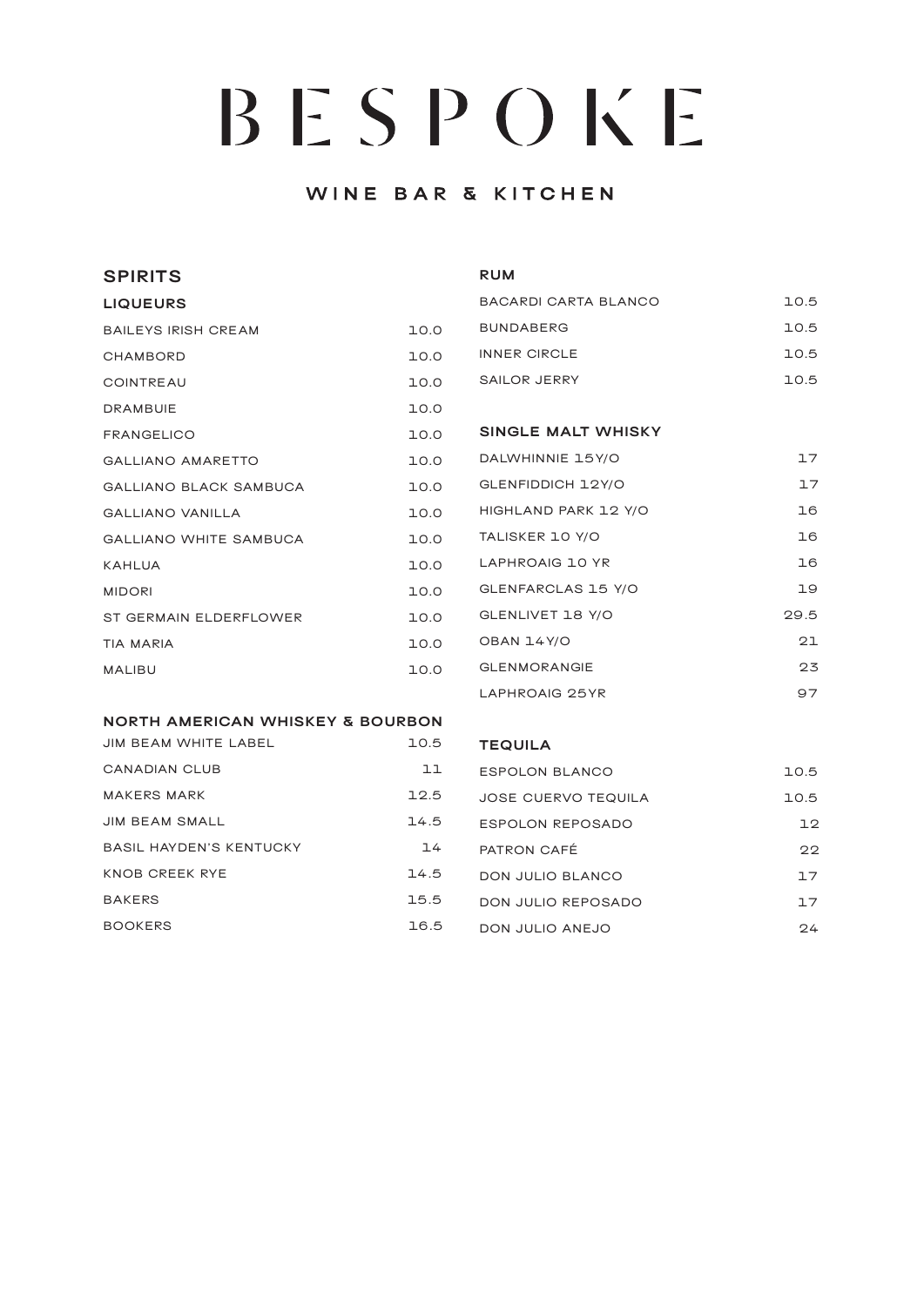## WINE BAR & KITCHEN

| <b>SPIRITS</b>                              |      | <b>RUM</b>                  |      |
|---------------------------------------------|------|-----------------------------|------|
| <b>LIQUEURS</b>                             |      | BACARDI CARTA BLANCO        | 10.5 |
| <b>BAILEYS IRISH CREAM</b>                  | 10.0 | <b>BUNDABERG</b>            | 10.5 |
| <b>CHAMBORD</b>                             | 10.0 | <b>INNER CIRCLE</b>         | 10.5 |
| COINTREAU                                   | 10.0 | SAILOR JERRY                | 10.5 |
| <b>DRAMBUIE</b>                             | 10.0 |                             |      |
| <b>FRANGELICO</b>                           | 10.0 | <b>SINGLE MALT WHISKY</b>   |      |
| <b>GALLIANO AMARETTO</b>                    | 10.0 | DALWHINNIE 15Y/O            | 17   |
| <b>GALLIANO BLACK SAMBUCA</b>               | 10.0 | GLENFIDDICH 12Y/O           | 17   |
| <b>GALLIANO VANILLA</b>                     | 10.0 | HIGHLAND PARK 12 Y/O        | 16   |
| <b>GALLIANO WHITE SAMBUCA</b>               | 10.0 | TALISKER 10 Y/O             | 16   |
| <b>KAHLUA</b>                               | 10.0 | LAPHROAIG 10 YR             | 16   |
| <b>MIDORI</b>                               | 10.0 | GLENFARCLAS 15 Y/O          | 19   |
| ST GERMAIN ELDERFLOWER                      | 10.0 | GLENLIVET 18 Y/O            | 29.5 |
| <b>TIA MARIA</b>                            | 10.0 | OBAN 14Y/O                  | 21   |
| <b>MALIBU</b>                               | 10.0 | <b>GLENMORANGIE</b>         | 23   |
|                                             |      | LAPHROAIG 25YR              | 97   |
| <b>NORTH AMERICAN WHISKEY &amp; BOURBON</b> |      |                             |      |
| $\blacksquare$                              | 705  | $T$ $R$ $R$ $R$ $R$ $R$ $R$ |      |

| JIM BEAM WHILE LABEL           | $\cup$ |
|--------------------------------|--------|
| CANADIAN CLUB                  | 고고     |
| <b>MAKERS MARK</b>             | 12.5   |
| <b>JIM BEAM SMALL</b>          | 14.5   |
| <b>BASIL HAYDEN'S KENTUCKY</b> | 74     |
| KNOB CREEK RYE                 | 14.5   |
| <b>BAKERS</b>                  | 15.5   |
| <b>BOOKERS</b>                 | 16.5   |

#### **TEQUILA**

| FSPOLON BLANCO      | 1 O 5 |
|---------------------|-------|
| JOSE CUERVO TEQUILA | 1 O 5 |
| ESPOLON REPOSADO    | ヿヮ    |
| PATRON CAFÉ         | クク    |
| DON JULIO BI ANCO   | ㄱ フ   |
| DON JULIO REPOSADO  | ㄱ フ   |
| DON JULIO ANF.IO    | クム    |